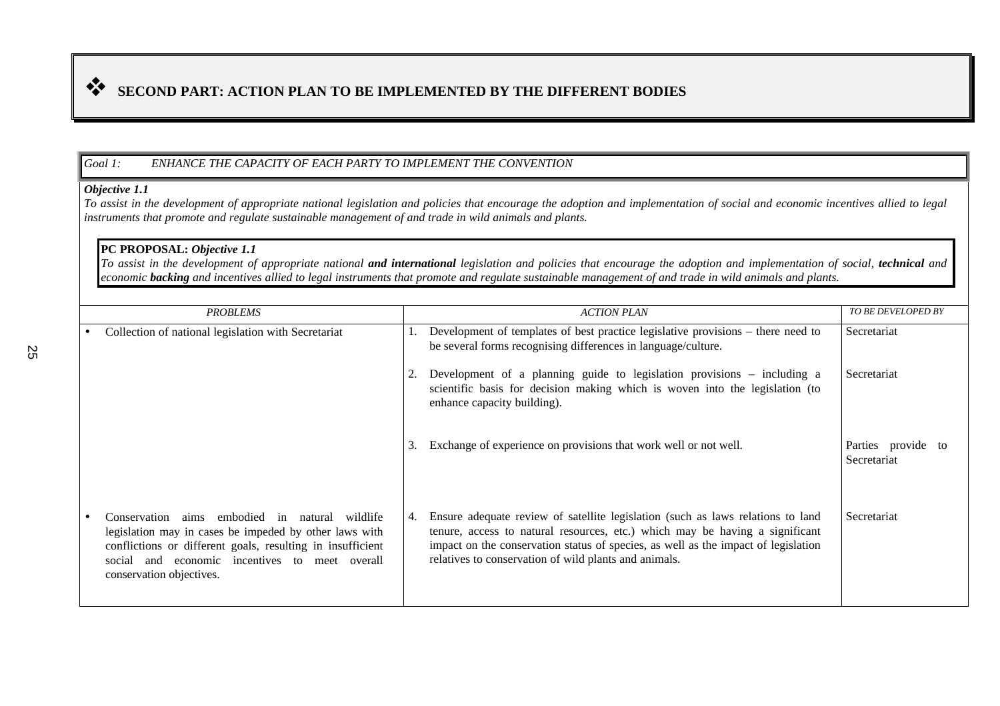# **SECOND PART: ACTION PLAN TO BE IMPLEMENTED BY THE DIFFERENT BODIES**

### *Goal 1: ENHANCE THE CAPACITY OF EACH PARTY TO IMPLEMENT THE CONVENTION*

#### *Objective 1.1*

*To assist in the development of appropriate national legislation and policies that encourage the adoption and implementation of social and economic incentives allied to legal instruments that promote and regulate sustainable management of and trade in wild animals and plants.*

### **PC PROPOSAL:** *Objective 1.1*

*To assist in the development of appropriate national and international legislation and policies that encourage the adoption and implementation of social, technical and economic backing and incentives allied to legal instruments that promote and regulate sustainable management of and trade in wild animals and plants.*

| <b>PROBLEMS</b>                                                                                                                                                                                                                                            |    | <b>ACTION PLAN</b>                                                                                                                                                                                                                                                                                             | <b>TO BE DEVELOPED BY</b>      |
|------------------------------------------------------------------------------------------------------------------------------------------------------------------------------------------------------------------------------------------------------------|----|----------------------------------------------------------------------------------------------------------------------------------------------------------------------------------------------------------------------------------------------------------------------------------------------------------------|--------------------------------|
| Collection of national legislation with Secretariat                                                                                                                                                                                                        |    | Development of templates of best practice legislative provisions – there need to<br>be several forms recognising differences in language/culture.                                                                                                                                                              | Secretariat                    |
|                                                                                                                                                                                                                                                            |    | Development of a planning guide to legislation provisions - including a<br>scientific basis for decision making which is woven into the legislation (to<br>enhance capacity building).                                                                                                                         | Secretariat                    |
|                                                                                                                                                                                                                                                            | 3. | Exchange of experience on provisions that work well or not well.                                                                                                                                                                                                                                               | Parties provide<br>Secretariat |
| aims embodied in<br>Conservation<br>natural wildlife<br>legislation may in cases be impeded by other laws with<br>conflictions or different goals, resulting in insufficient<br>social and economic incentives to meet overall<br>conservation objectives. | 4. | Ensure adequate review of satellite legislation (such as laws relations to land<br>tenure, access to natural resources, etc.) which may be having a significant<br>impact on the conservation status of species, as well as the impact of legislation<br>relatives to conservation of wild plants and animals. | Secretariat                    |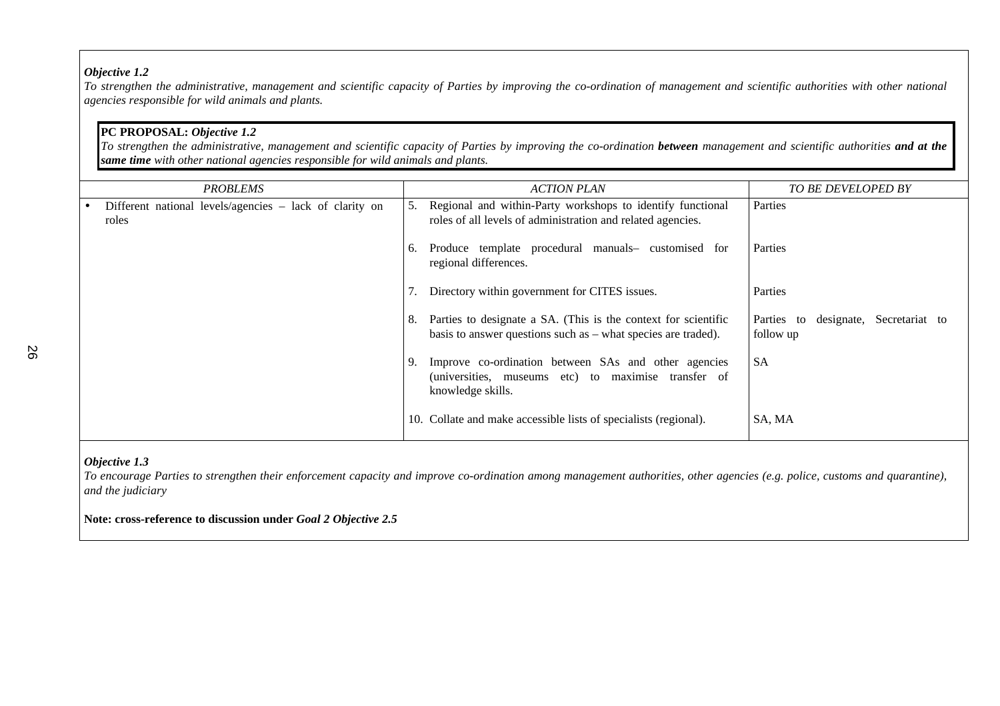*To strengthen the administrative, management and scientific capacity of Parties by improving the co-ordination of management and scientific authorities with other national agencies responsible for wild animals and plants.*

## **PC PROPOSAL:** *Objective 1.2*

*To strengthen the administrative, management and scientific capacity of Parties by improving the co-ordination between management and scientific authorities and at the same time with other national agencies responsible for wild animals and plants.*

| <b>PROBLEMS</b>                                                  |    | <b>ACTION PLAN</b>                                                                                                                | <b>TO BE DEVELOPED BY</b>                                  |
|------------------------------------------------------------------|----|-----------------------------------------------------------------------------------------------------------------------------------|------------------------------------------------------------|
| Different national levels/agencies - lack of clarity on<br>roles | 5. | Regional and within-Party workshops to identify functional<br>roles of all levels of administration and related agencies.         | Parties                                                    |
|                                                                  | 6. | Produce template procedural manuals- customised for<br>regional differences.                                                      | Parties                                                    |
|                                                                  |    | Directory within government for CITES issues.                                                                                     | Parties                                                    |
|                                                                  | 8. | Parties to designate a SA. (This is the context for scientific<br>basis to answer questions such as $-$ what species are traded). | designate,<br>Parties<br>Secretariat to<br>to<br>follow up |
|                                                                  |    | Improve co-ordination between SAs and other agencies<br>(universities, museums etc) to maximise transfer of<br>knowledge skills.  | <b>SA</b>                                                  |
|                                                                  |    | 10. Collate and make accessible lists of specialists (regional).                                                                  | SA, MA                                                     |

#### *Objective 1.3*

*To encourage Parties to strengthen their enforcement capacity and improve co-ordination among management authorities, other agencies (e.g. police, customs and quarantine), and the judiciary*

### **Note: cross-reference to discussion under** *Goal 2 Objective 2.5*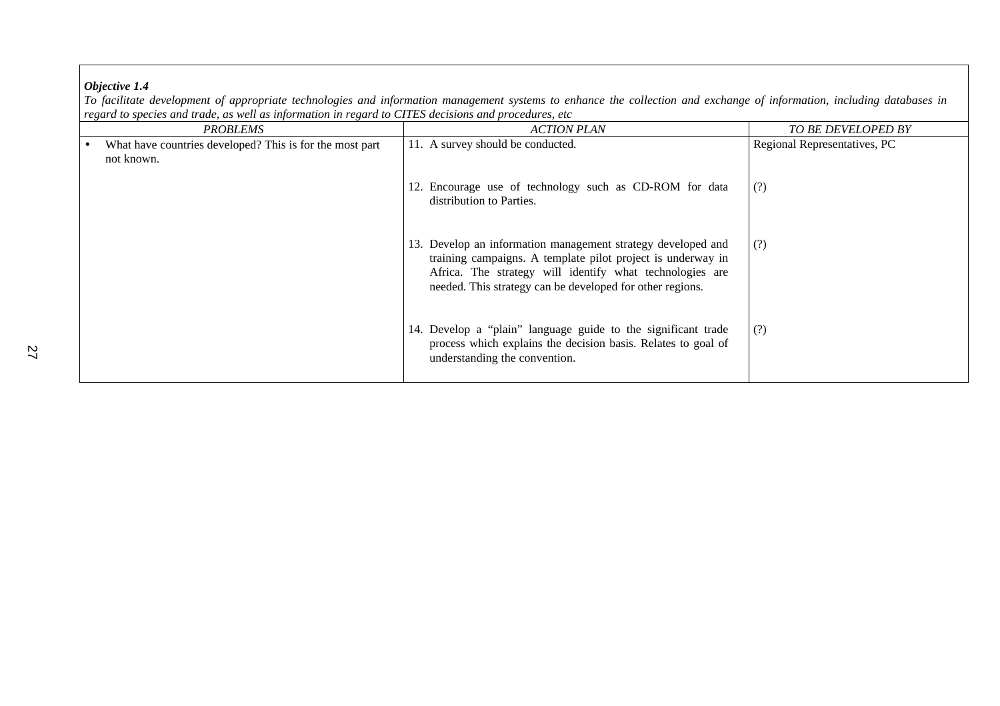*To facilitate development of appropriate technologies and information management systems to enhance the collection and exchange of information, including databases in regard to species and trade, as well as information in regard to CITES decisions and procedures, etc*

| <b>PROBLEMS</b>                                          | <b>ACTION PLAN</b>                                                                                                                                                                                                                                   | TO BE DEVELOPED BY           |
|----------------------------------------------------------|------------------------------------------------------------------------------------------------------------------------------------------------------------------------------------------------------------------------------------------------------|------------------------------|
| What have countries developed? This is for the most part | 11. A survey should be conducted.                                                                                                                                                                                                                    | Regional Representatives, PC |
| not known.                                               | 12. Encourage use of technology such as CD-ROM for data<br>distribution to Parties.                                                                                                                                                                  | (?)                          |
|                                                          | 13. Develop an information management strategy developed and<br>training campaigns. A template pilot project is underway in<br>Africa. The strategy will identify what technologies are<br>needed. This strategy can be developed for other regions. | (?)                          |
|                                                          | 14. Develop a "plain" language guide to the significant trade<br>process which explains the decision basis. Relates to goal of<br>understanding the convention.                                                                                      | (?)                          |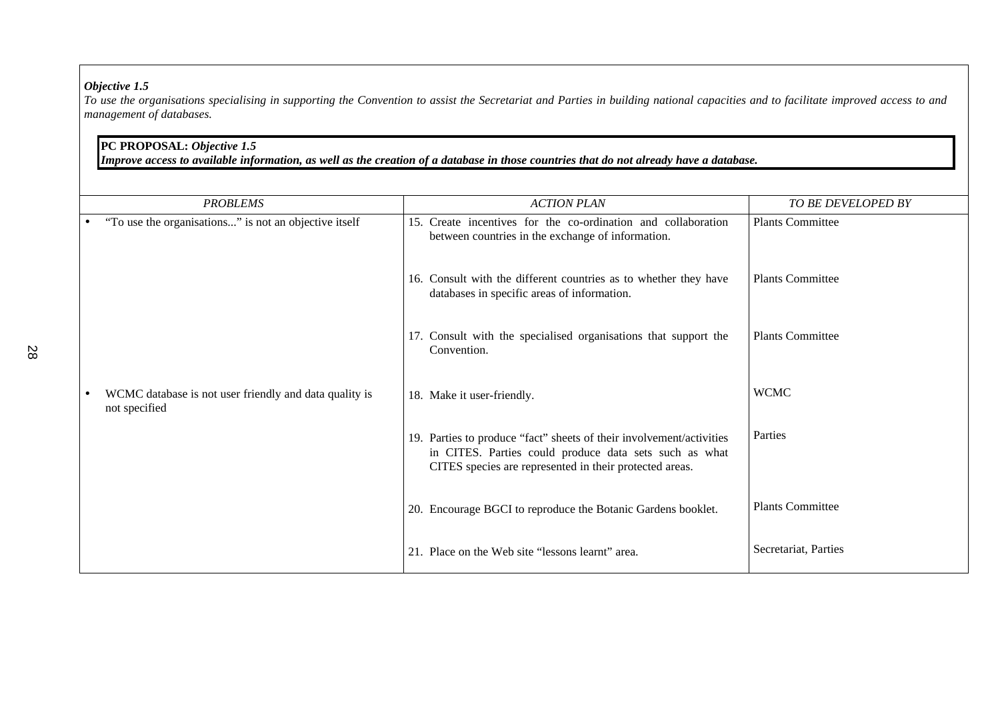*To use the organisations specialising in supporting the Convention to assist the Secretariat and Parties in building national capacities and to facilitate improved access to and management of databases.*

## **PC PROPOSAL:** *Objective 1.5*

*Improve access to available information, as well as the creation of a database in those countries that do not already have a database.*

|           | <b>PROBLEMS</b>                                                         | <b>ACTION PLAN</b>                                                                                                                                                                        | TO BE DEVELOPED BY      |
|-----------|-------------------------------------------------------------------------|-------------------------------------------------------------------------------------------------------------------------------------------------------------------------------------------|-------------------------|
|           | "To use the organisations" is not an objective itself                   | 15. Create incentives for the co-ordination and collaboration<br>between countries in the exchange of information.                                                                        | <b>Plants Committee</b> |
|           |                                                                         | 16. Consult with the different countries as to whether they have<br>databases in specific areas of information.                                                                           | <b>Plants Committee</b> |
|           |                                                                         | 17. Consult with the specialised organisations that support the<br>Convention.                                                                                                            | <b>Plants Committee</b> |
| $\bullet$ | WCMC database is not user friendly and data quality is<br>not specified | 18. Make it user-friendly.                                                                                                                                                                | <b>WCMC</b>             |
|           |                                                                         | 19. Parties to produce "fact" sheets of their involvement/activities<br>in CITES. Parties could produce data sets such as what<br>CITES species are represented in their protected areas. | Parties                 |
|           |                                                                         | 20. Encourage BGCI to reproduce the Botanic Gardens booklet.                                                                                                                              | <b>Plants Committee</b> |
|           |                                                                         | 21. Place on the Web site "lessons learnt" area.                                                                                                                                          | Secretariat, Parties    |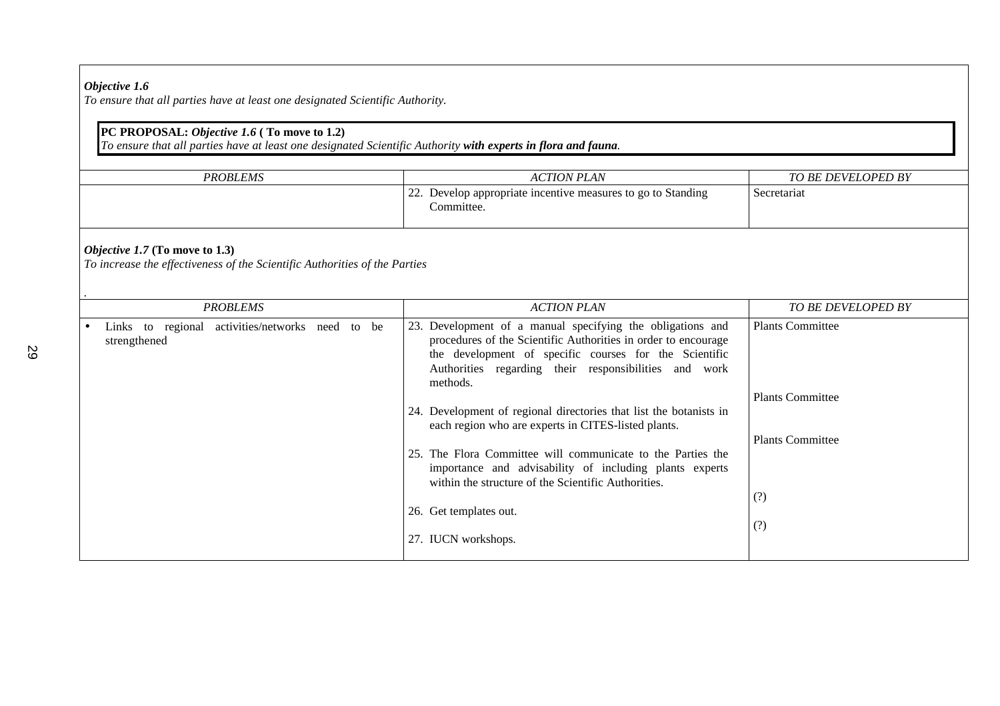*To ensure that all parties have at least one designated Scientific Authority.*

## **PC PROPOSAL:** *Objective 1.6* **( To move to 1.2)**

*To ensure that all parties have at least one designated Scientific Authority with experts in flora and fauna.*

| <b>PROBLEMS</b> | ACTION PLAN                                                                | TO BE DEVELOPED BY |
|-----------------|----------------------------------------------------------------------------|--------------------|
|                 | 22. Develop appropriate incentive measures to go to Standing<br>Committee. | Secretariat        |

### *Objective 1.7* **(To move to 1.3)**

*To increase the effectiveness of the Scientific Authorities of the Parties*

| <b>PROBLEMS</b>                                                  | <b>ACTION PLAN</b>                                                                                                                                                                                                                                             | <b>TO BE DEVELOPED BY</b> |
|------------------------------------------------------------------|----------------------------------------------------------------------------------------------------------------------------------------------------------------------------------------------------------------------------------------------------------------|---------------------------|
| Links to regional activities/networks need to be<br>strengthened | Development of a manual specifying the obligations and<br>23.<br>procedures of the Scientific Authorities in order to encourage<br>the development of specific courses for the Scientific<br>Authorities regarding their responsibilities and work<br>methods. | <b>Plants Committee</b>   |
|                                                                  |                                                                                                                                                                                                                                                                | <b>Plants Committee</b>   |
|                                                                  | 24. Development of regional directories that list the botanists in<br>each region who are experts in CITES-listed plants.                                                                                                                                      |                           |
|                                                                  | The Flora Committee will communicate to the Parties the<br>25.<br>importance and advisability of including plants experts<br>within the structure of the Scientific Authorities.                                                                               | <b>Plants Committee</b>   |
|                                                                  | 26. Get templates out.                                                                                                                                                                                                                                         | (?)<br>(?)                |
|                                                                  | 27. IUCN workshops.                                                                                                                                                                                                                                            |                           |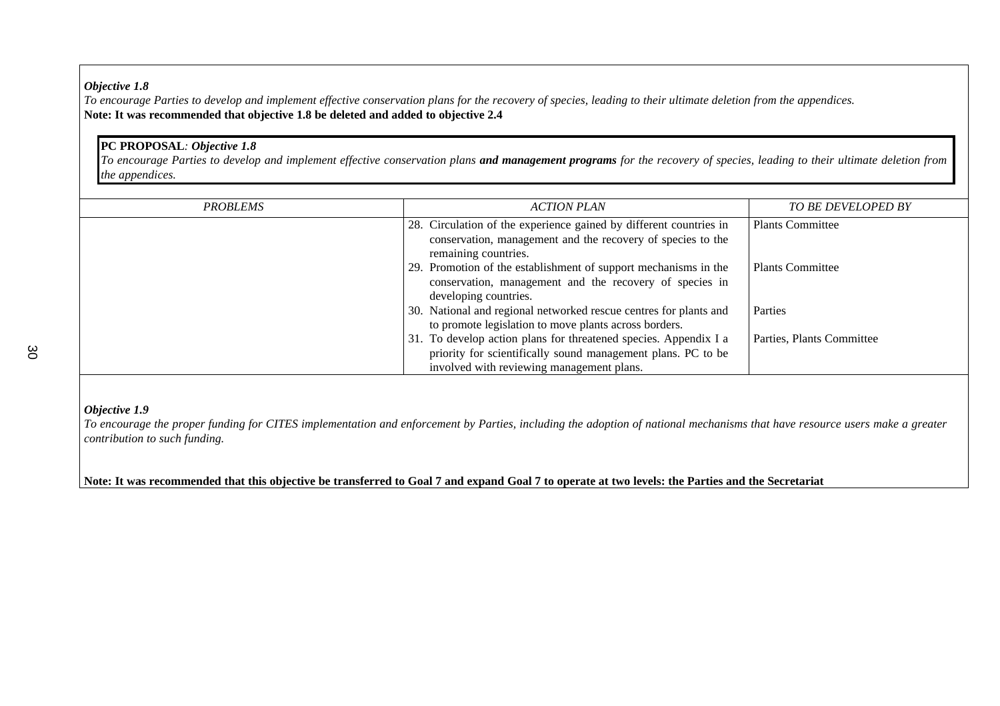*To encourage Parties to develop and implement effective conservation plans for the recovery of species, leading to their ultimate deletion from the appendices.* **Note: It was recommended that objective 1.8 be deleted and added to objective 2.4**

## **PC PROPOSAL***: Objective 1.8*

*To encourage Parties to develop and implement effective conservation plans and management programs for the recovery of species, leading to their ultimate deletion from the appendices.*

| <b>PROBLEMS</b> | <b>ACTION PLAN</b>                                                 | <b>TO BE DEVELOPED BY</b> |
|-----------------|--------------------------------------------------------------------|---------------------------|
|                 | 28. Circulation of the experience gained by different countries in | <b>Plants Committee</b>   |
|                 | conservation, management and the recovery of species to the        |                           |
|                 | remaining countries.                                               |                           |
|                 | 29. Promotion of the establishment of support mechanisms in the    | <b>Plants Committee</b>   |
|                 | conservation, management and the recovery of species in            |                           |
|                 | developing countries.                                              |                           |
|                 | 30. National and regional networked rescue centres for plants and  | Parties                   |
|                 | to promote legislation to move plants across borders.              |                           |
|                 | 31. To develop action plans for threatened species. Appendix I a   | Parties, Plants Committee |
|                 | priority for scientifically sound management plans. PC to be       |                           |
|                 | involved with reviewing management plans.                          |                           |

### *Objective 1.9*

*To encourage the proper funding for CITES implementation and enforcement by Parties, including the adoption of national mechanisms that have resource users make a greater contribution to such funding.*

**Note: It was recommended that this objective be transferred to Goal 7 and expand Goal 7 to operate at two levels: the Parties and the Secretariat**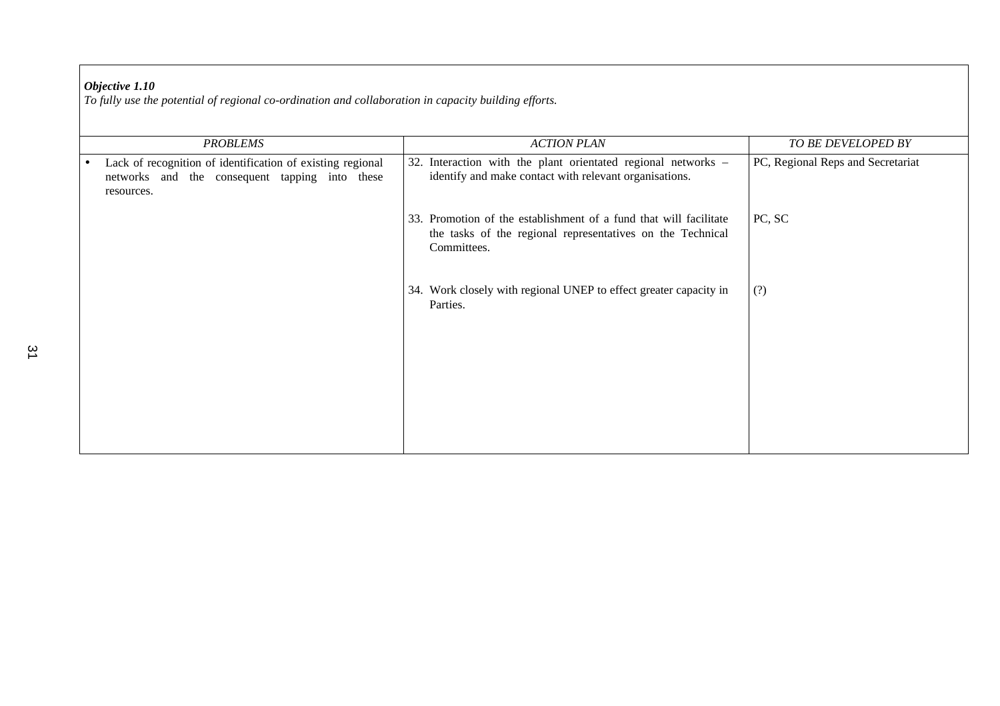*To fully use the potential of regional co-ordination and collaboration in capacity building efforts.*

| <b>PROBLEMS</b>                                                                                                                         | <b>ACTION PLAN</b>                                                                                                                             | TO BE DEVELOPED BY                |
|-----------------------------------------------------------------------------------------------------------------------------------------|------------------------------------------------------------------------------------------------------------------------------------------------|-----------------------------------|
| Lack of recognition of identification of existing regional<br>$\bullet$<br>networks and the consequent tapping into these<br>resources. | 32. Interaction with the plant orientated regional networks -<br>identify and make contact with relevant organisations.                        | PC, Regional Reps and Secretariat |
|                                                                                                                                         | 33. Promotion of the establishment of a fund that will facilitate<br>the tasks of the regional representatives on the Technical<br>Committees. | PC, SC                            |
|                                                                                                                                         | 34. Work closely with regional UNEP to effect greater capacity in<br>Parties.                                                                  | (?)                               |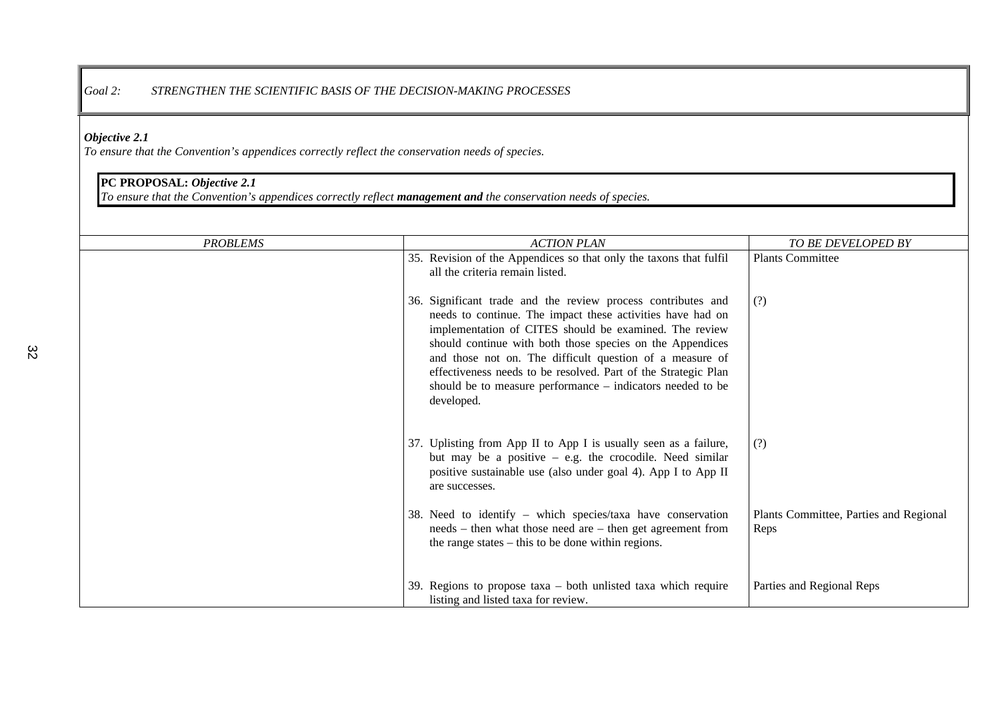### *Goal 2: STRENGTHEN THE SCIENTIFIC BASIS OF THE DECISION-MAKING PROCESSES*

### *Objective 2.1*

*To ensure that the Convention's appendices correctly reflect the conservation needs of species.*

## **PC PROPOSAL:** *Objective 2.1*

*To ensure that the Convention's appendices correctly reflect management and the conservation needs of species.*

| <b>PROBLEMS</b> | <b>ACTION PLAN</b>                                                                                                                                                                                                                                                                                                                                                                                                                                          | TO BE DEVELOPED BY                             |
|-----------------|-------------------------------------------------------------------------------------------------------------------------------------------------------------------------------------------------------------------------------------------------------------------------------------------------------------------------------------------------------------------------------------------------------------------------------------------------------------|------------------------------------------------|
|                 | 35. Revision of the Appendices so that only the taxons that fulfil<br>all the criteria remain listed.                                                                                                                                                                                                                                                                                                                                                       | Plants Committee                               |
|                 | 36. Significant trade and the review process contributes and<br>needs to continue. The impact these activities have had on<br>implementation of CITES should be examined. The review<br>should continue with both those species on the Appendices<br>and those not on. The difficult question of a measure of<br>effectiveness needs to be resolved. Part of the Strategic Plan<br>should be to measure performance – indicators needed to be<br>developed. | (?)                                            |
|                 | 37. Uplisting from App II to App I is usually seen as a failure,<br>but may be a positive $-$ e.g. the crocodile. Need similar<br>positive sustainable use (also under goal 4). App I to App II<br>are successes.                                                                                                                                                                                                                                           | (?)                                            |
|                 | 38. Need to identify – which species/taxa have conservation<br>needs – then what those need are – then get agreement from<br>the range states $-$ this to be done within regions.                                                                                                                                                                                                                                                                           | Plants Committee, Parties and Regional<br>Reps |
|                 | 39. Regions to propose $taxa - both$ unlisted $taxa$ which require<br>listing and listed taxa for review.                                                                                                                                                                                                                                                                                                                                                   | Parties and Regional Reps                      |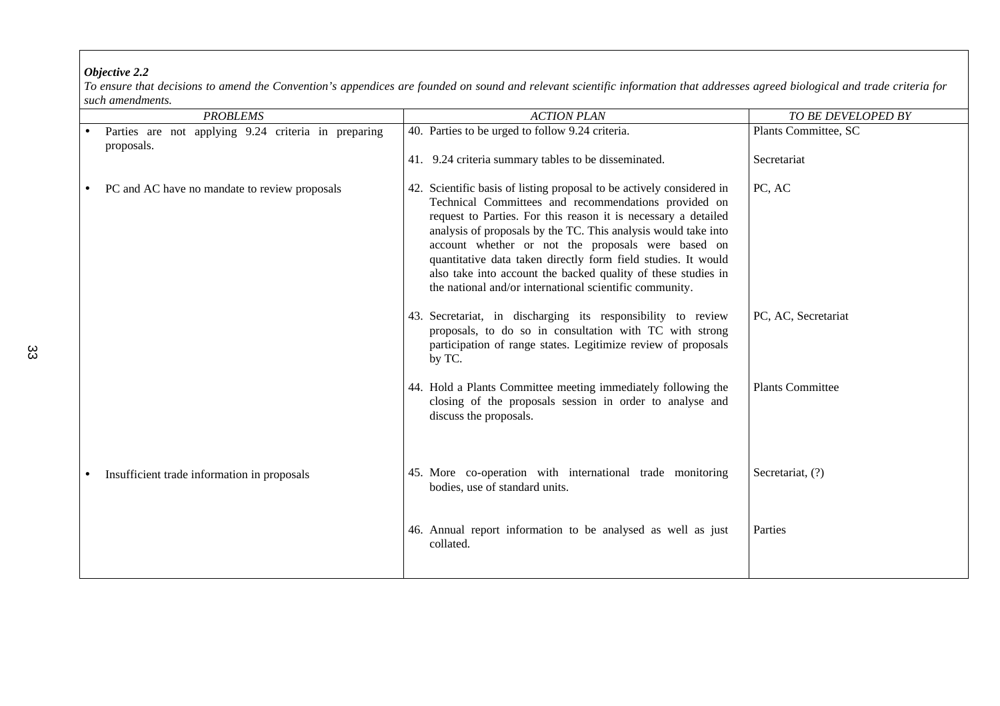*To ensure that decisions to amend the Convention's appendices are founded on sound and relevant scientific information that addresses agreed biological and trade criteria for such amendments.*

|           | <b>PROBLEMS</b>                                                   | <b>ACTION PLAN</b>                                                                                                                                                                                                                                                                                                                                                                                                                                                                                                   | TO BE DEVELOPED BY      |
|-----------|-------------------------------------------------------------------|----------------------------------------------------------------------------------------------------------------------------------------------------------------------------------------------------------------------------------------------------------------------------------------------------------------------------------------------------------------------------------------------------------------------------------------------------------------------------------------------------------------------|-------------------------|
|           | Parties are not applying 9.24 criteria in preparing<br>proposals. | 40. Parties to be urged to follow 9.24 criteria.                                                                                                                                                                                                                                                                                                                                                                                                                                                                     | Plants Committee, SC    |
|           |                                                                   | 41. 9.24 criteria summary tables to be disseminated.                                                                                                                                                                                                                                                                                                                                                                                                                                                                 | Secretariat             |
| $\bullet$ | PC and AC have no mandate to review proposals                     | 42. Scientific basis of listing proposal to be actively considered in<br>Technical Committees and recommendations provided on<br>request to Parties. For this reason it is necessary a detailed<br>analysis of proposals by the TC. This analysis would take into<br>account whether or not the proposals were based on<br>quantitative data taken directly form field studies. It would<br>also take into account the backed quality of these studies in<br>the national and/or international scientific community. | PC, AC                  |
|           |                                                                   | 43. Secretariat, in discharging its responsibility to review<br>proposals, to do so in consultation with TC with strong<br>participation of range states. Legitimize review of proposals<br>by TC.                                                                                                                                                                                                                                                                                                                   | PC, AC, Secretariat     |
|           |                                                                   | 44. Hold a Plants Committee meeting immediately following the<br>closing of the proposals session in order to analyse and<br>discuss the proposals.                                                                                                                                                                                                                                                                                                                                                                  | <b>Plants Committee</b> |
|           | Insufficient trade information in proposals                       | 45. More co-operation with international trade monitoring<br>bodies, use of standard units.                                                                                                                                                                                                                                                                                                                                                                                                                          | Secretariat, (?)        |
|           |                                                                   | 46. Annual report information to be analysed as well as just<br>collated.                                                                                                                                                                                                                                                                                                                                                                                                                                            | Parties                 |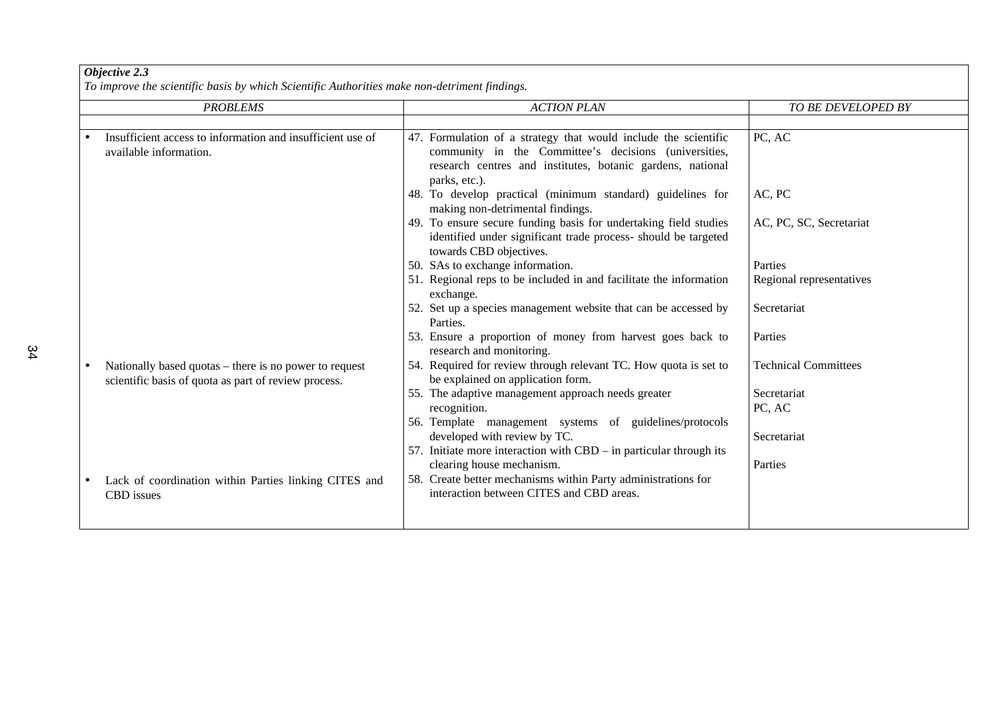*To improve the scientific basis by which Scientific Authorities make non-detriment findings.*

| Insufficient access to information and insufficient use of<br>available information.                           | 47. Formulation of a strategy that would include the scientific<br>community in the Committee's decisions (universities,<br>research centres and institutes, botanic gardens, national<br>parks, etc.).<br>48. To develop practical (minimum standard) guidelines for<br>making non-detrimental findings.<br>49. To ensure secure funding basis for undertaking field studies | PC, AC<br>AC, PC            |
|----------------------------------------------------------------------------------------------------------------|-------------------------------------------------------------------------------------------------------------------------------------------------------------------------------------------------------------------------------------------------------------------------------------------------------------------------------------------------------------------------------|-----------------------------|
|                                                                                                                |                                                                                                                                                                                                                                                                                                                                                                               |                             |
|                                                                                                                |                                                                                                                                                                                                                                                                                                                                                                               |                             |
|                                                                                                                |                                                                                                                                                                                                                                                                                                                                                                               |                             |
|                                                                                                                | identified under significant trade process- should be targeted<br>towards CBD objectives.                                                                                                                                                                                                                                                                                     | AC, PC, SC, Secretariat     |
|                                                                                                                | 50. SAs to exchange information.                                                                                                                                                                                                                                                                                                                                              | Parties                     |
|                                                                                                                | 51. Regional reps to be included in and facilitate the information<br>exchange.                                                                                                                                                                                                                                                                                               | Regional representatives    |
|                                                                                                                | 52. Set up a species management website that can be accessed by<br>Parties.                                                                                                                                                                                                                                                                                                   | Secretariat                 |
|                                                                                                                | 53. Ensure a proportion of money from harvest goes back to<br>research and monitoring.                                                                                                                                                                                                                                                                                        | Parties                     |
| Nationally based quotas – there is no power to request<br>scientific basis of quota as part of review process. | 54. Required for review through relevant TC. How quota is set to<br>be explained on application form.                                                                                                                                                                                                                                                                         | <b>Technical Committees</b> |
|                                                                                                                | 55. The adaptive management approach needs greater<br>recognition.                                                                                                                                                                                                                                                                                                            | Secretariat<br>PC, AC       |
|                                                                                                                | 56. Template management systems of guidelines/protocols<br>developed with review by TC.                                                                                                                                                                                                                                                                                       | Secretariat                 |
|                                                                                                                | 57. Initiate more interaction with $CBD - in$ particular through its<br>clearing house mechanism.                                                                                                                                                                                                                                                                             | Parties                     |
| Lack of coordination within Parties linking CITES and<br><b>CBD</b> issues                                     | 58. Create better mechanisms within Party administrations for<br>interaction between CITES and CBD areas.                                                                                                                                                                                                                                                                     |                             |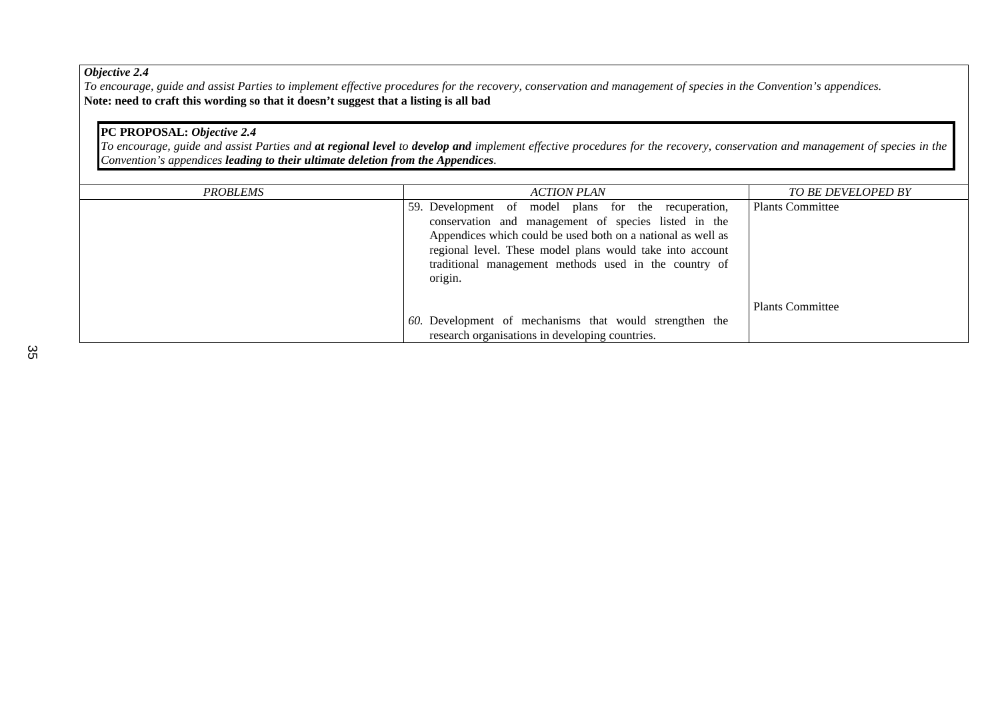*To encourage, guide and assist Parties to implement effective procedures for the recovery, conservation and management of species in the Convention's appendices.* **Note: need to craft this wording so that it doesn't suggest that a listing is all bad**

## **PC PROPOSAL:** *Objective 2.4*

*To encourage, guide and assist Parties and at regional level to develop and implement effective procedures for the recovery, conservation and management of species in the Convention's appendices leading to their ultimate deletion from the Appendices.*

| PROBLEMS | ACTION PLAN                                                                                                                                                                                                                                                                                                   | <b>TO BE DEVELOPED BY</b> |
|----------|---------------------------------------------------------------------------------------------------------------------------------------------------------------------------------------------------------------------------------------------------------------------------------------------------------------|---------------------------|
|          | 59. Development of model plans for the recuperation,<br>conservation and management of species listed in the<br>Appendices which could be used both on a national as well as<br>regional level. These model plans would take into account<br>traditional management methods used in the country of<br>origin. | <b>Plants Committee</b>   |
|          | 60. Development of mechanisms that would strengthen the                                                                                                                                                                                                                                                       | <b>Plants Committee</b>   |
|          | research organisations in developing countries.                                                                                                                                                                                                                                                               |                           |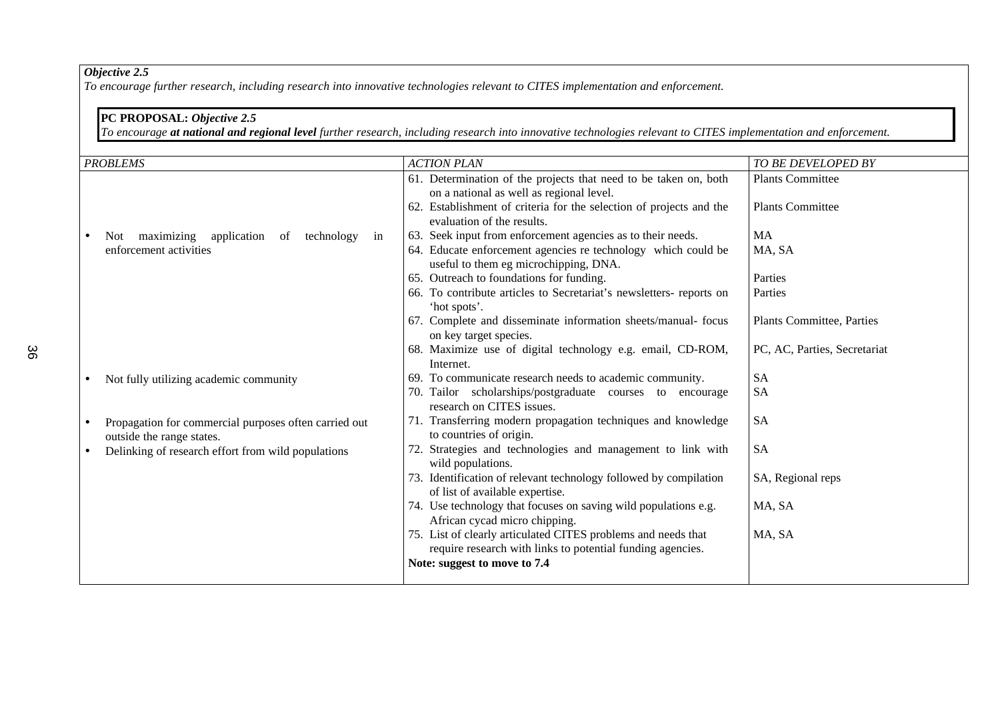*To encourage further research, including research into innovative technologies relevant to CITES implementation and enforcement.*

### **PC PROPOSAL:** *Objective 2.5*

*To encourage at national and regional level further research, including research into innovative technologies relevant to CITES implementation and enforcement.*

| <b>PROBLEMS</b>                                                                    | <b>ACTION PLAN</b>                                                                                                          | TO BE DEVELOPED BY               |
|------------------------------------------------------------------------------------|-----------------------------------------------------------------------------------------------------------------------------|----------------------------------|
|                                                                                    | 61. Determination of the projects that need to be taken on, both<br>on a national as well as regional level.                | <b>Plants Committee</b>          |
|                                                                                    | 62. Establishment of criteria for the selection of projects and the<br>evaluation of the results.                           | <b>Plants Committee</b>          |
| maximizing<br>application<br>technology<br>of<br><b>Not</b><br>in                  | 63. Seek input from enforcement agencies as to their needs.                                                                 | MA                               |
| enforcement activities                                                             | 64. Educate enforcement agencies re technology which could be<br>useful to them eg microchipping, DNA.                      | MA, SA                           |
|                                                                                    | 65. Outreach to foundations for funding.                                                                                    | Parties                          |
|                                                                                    | 66. To contribute articles to Secretariat's newsletters- reports on<br>'hot spots'.                                         | Parties                          |
|                                                                                    | 67. Complete and disseminate information sheets/manual- focus<br>on key target species.                                     | <b>Plants Committee, Parties</b> |
|                                                                                    | 68. Maximize use of digital technology e.g. email, CD-ROM,<br>Internet.                                                     | PC, AC, Parties, Secretariat     |
| Not fully utilizing academic community                                             | 69. To communicate research needs to academic community.                                                                    | <b>SA</b>                        |
|                                                                                    | 70. Tailor scholarships/postgraduate courses to encourage<br>research on CITES issues.                                      | <b>SA</b>                        |
| Propagation for commercial purposes often carried out<br>outside the range states. | 71. Transferring modern propagation techniques and knowledge<br>to countries of origin.                                     | <b>SA</b>                        |
| Delinking of research effort from wild populations                                 | 72. Strategies and technologies and management to link with<br>wild populations.                                            | <b>SA</b>                        |
|                                                                                    | 73. Identification of relevant technology followed by compilation<br>of list of available expertise.                        | SA, Regional reps                |
|                                                                                    | 74. Use technology that focuses on saving wild populations e.g.<br>African cycad micro chipping.                            | MA, SA                           |
|                                                                                    | 75. List of clearly articulated CITES problems and needs that<br>require research with links to potential funding agencies. | MA, SA                           |
|                                                                                    | Note: suggest to move to 7.4                                                                                                |                                  |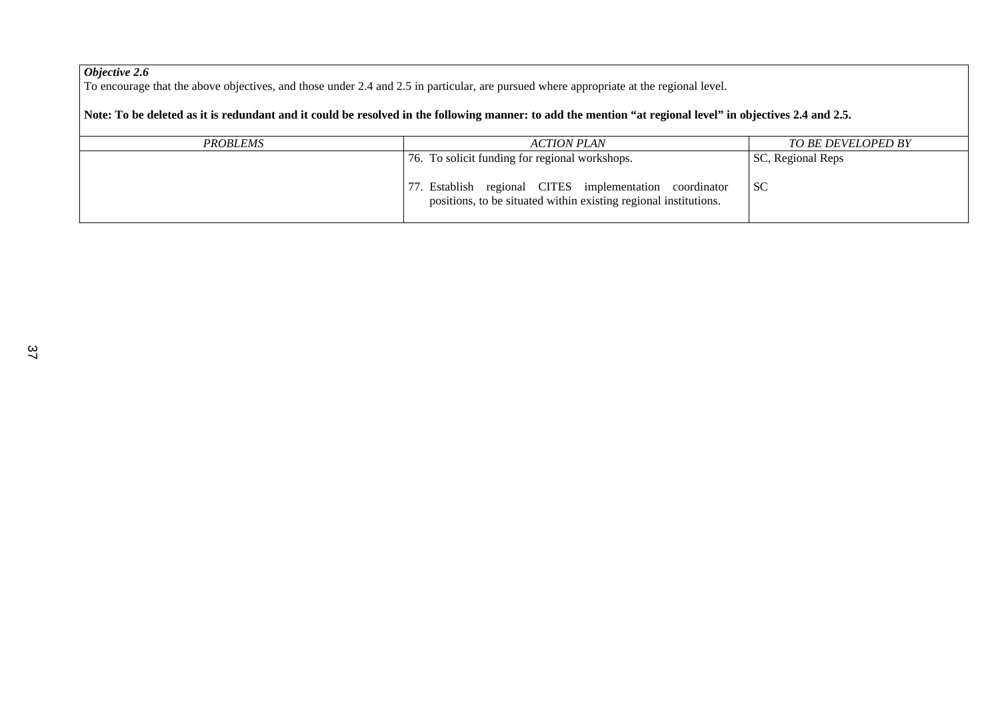To encourage that the above objectives, and those under 2.4 and 2.5 in particular, are pursued where appropriate at the regional level.

### **Note: To be deleted as it is redundant and it could be resolved in the following manner: to add the mention "at regional level" in objectives 2.4 and 2.5.**

| <b>PROBLEMS</b> | ACTION PLAN                                                                                                                 | <b>TO BE DEVELOPED BY</b> |
|-----------------|-----------------------------------------------------------------------------------------------------------------------------|---------------------------|
|                 | 76. To solicit funding for regional workshops.                                                                              | SC, Regional Reps         |
|                 | 77. Establish regional CITES implementation coordinator<br>positions, to be situated within existing regional institutions. | <sub>SC</sub>             |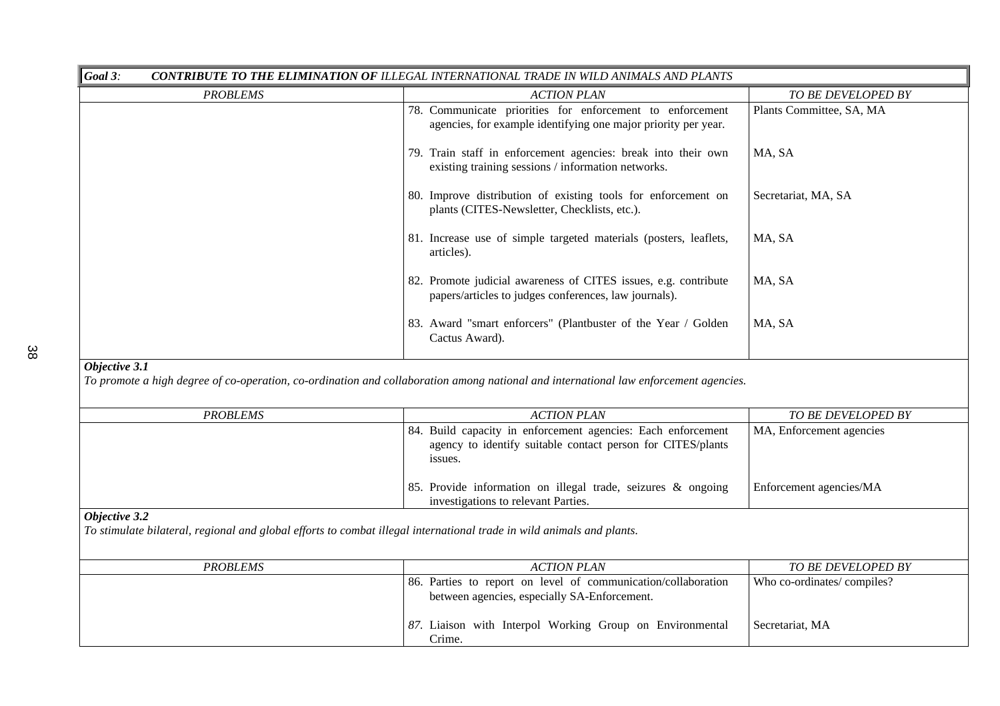| Goal 3:<br><b>CONTRIBUTE TO THE ELIMINATION OF ILLEGAL INTERNATIONAL TRADE IN WILD ANIMALS AND PLANTS</b> |                                                                                                                             |                           |
|-----------------------------------------------------------------------------------------------------------|-----------------------------------------------------------------------------------------------------------------------------|---------------------------|
| <b>PROBLEMS</b>                                                                                           | <b>ACTION PLAN</b>                                                                                                          | <b>TO BE DEVELOPED BY</b> |
|                                                                                                           | 78. Communicate priorities for enforcement to enforcement<br>agencies, for example identifying one major priority per year. | Plants Committee, SA, MA  |
|                                                                                                           | 79. Train staff in enforcement agencies: break into their own<br>existing training sessions / information networks.         | MA, SA                    |
|                                                                                                           | 80. Improve distribution of existing tools for enforcement on<br>plants (CITES-Newsletter, Checklists, etc.).               | Secretariat, MA, SA       |
|                                                                                                           | 81. Increase use of simple targeted materials (posters, leaflets,<br>articles).                                             | MA, SA                    |
|                                                                                                           | 82. Promote judicial awareness of CITES issues, e.g. contribute<br>papers/articles to judges conferences, law journals).    | MA, SA                    |
|                                                                                                           | 83. Award "smart enforcers" (Plantbuster of the Year / Golden<br>Cactus Award).                                             | MA, SA                    |

*To promote a high degree of co-operation, co-ordination and collaboration among national and international law enforcement agencies.*

| <b>PROBLEMS</b> | <b>ACTION PLAN</b>                                                                                                                     | TO BE DEVELOPED BY       |
|-----------------|----------------------------------------------------------------------------------------------------------------------------------------|--------------------------|
|                 | 84. Build capacity in enforcement agencies: Each enforcement<br>agency to identify suitable contact person for CITES/plants<br>issues. | MA, Enforcement agencies |
|                 | 85. Provide information on illegal trade, seizures & ongoing<br>investigations to relevant Parties.                                    | Enforcement agencies/MA  |

## *Objective 3.2*

*To stimulate bilateral, regional and global efforts to combat illegal international trade in wild animals and plants.*

| <b>PROBLEMS</b> | ACTION PLAN                                                                                                   | <b>TO BE DEVELOPED BY</b>  |
|-----------------|---------------------------------------------------------------------------------------------------------------|----------------------------|
|                 | 86. Parties to report on level of communication/collaboration<br>between agencies, especially SA-Enforcement. | Who co-ordinates/compiles? |
|                 | 87. Liaison with Interpol Working Group on Environmental<br>Crime.                                            | Secretariat, MA            |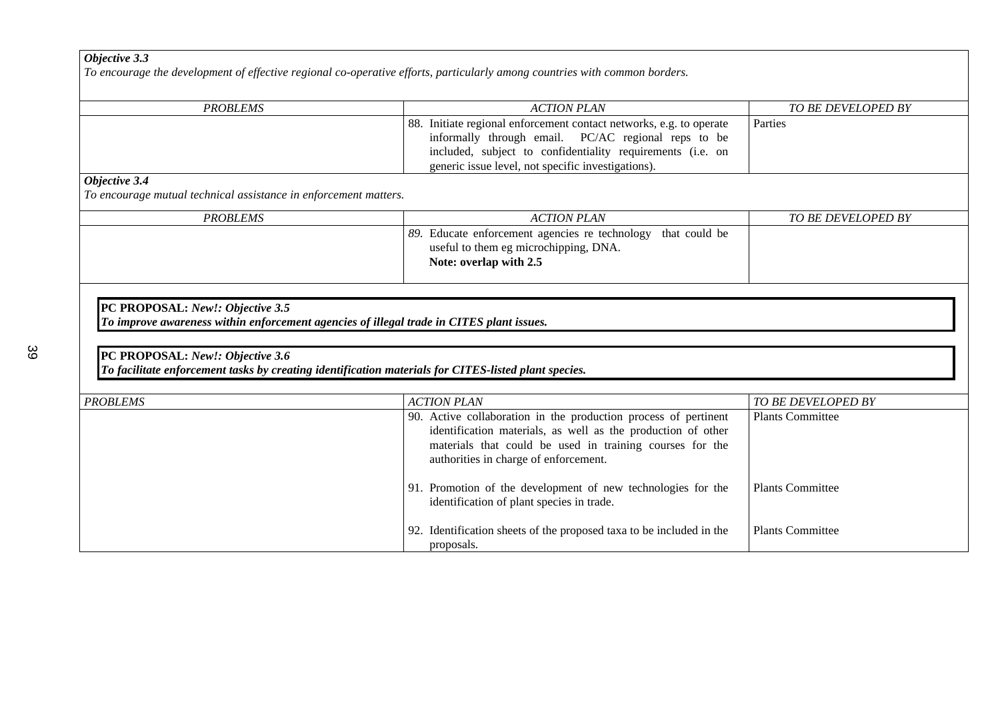*To encourage the development of effective regional co-operative efforts, particularly among countries with common borders.*

| <b>PROBLEMS</b> | <b>ACTION PLAN</b>                                                                                                                                                                                                                             | TO BE DEVELOPED BY |
|-----------------|------------------------------------------------------------------------------------------------------------------------------------------------------------------------------------------------------------------------------------------------|--------------------|
|                 | 88. Initiate regional enforcement contact networks, e.g. to operate<br>informally through email. PC/AC regional reps to be<br>included, subject to confidentiality requirements (i.e. on<br>generic issue level, not specific investigations). | Parties            |
| $\sim$          |                                                                                                                                                                                                                                                |                    |

#### *Objective 3.4*

*To encourage mutual technical assistance in enforcement matters.*

| <b>PROBLEMS</b> | ACTION PLAN                                                  | TO BE DEVELOPED BY |
|-----------------|--------------------------------------------------------------|--------------------|
|                 | 89. Educate enforcement agencies re technology that could be |                    |
|                 | useful to them eg microchipping, DNA.                        |                    |
|                 | Note: overlap with 2.5                                       |                    |
|                 |                                                              |                    |

### **PC PROPOSAL:** *New!: Objective 3.5 To improve awareness within enforcement agencies of illegal trade in CITES plant issues.*

## 39

## **PC PROPOSAL:** *New!: Objective 3.6*

*To facilitate enforcement tasks by creating identification materials for CITES-listed plant species.*

| <b>PROBLEMS</b> | <b>ACTION PLAN</b>                                                                                                                                                                                                                   | <i>TO BE DEVELOPED BY</i> |
|-----------------|--------------------------------------------------------------------------------------------------------------------------------------------------------------------------------------------------------------------------------------|---------------------------|
|                 | 90. Active collaboration in the production process of pertinent<br>identification materials, as well as the production of other<br>materials that could be used in training courses for the<br>authorities in charge of enforcement. | <b>Plants Committee</b>   |
|                 | 91. Promotion of the development of new technologies for the<br>identification of plant species in trade.                                                                                                                            | <b>Plants Committee</b>   |
|                 | 92. Identification sheets of the proposed taxa to be included in the<br>proposals.                                                                                                                                                   | <b>Plants Committee</b>   |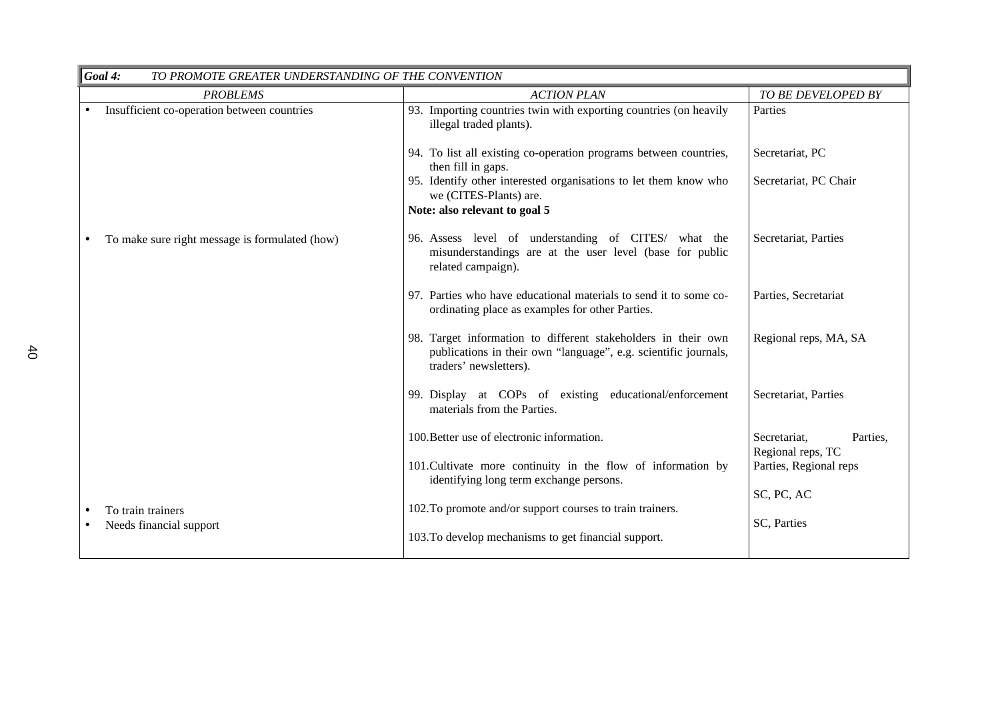| Goal 4:<br>TO PROMOTE GREATER UNDERSTANDING OF THE CONVENTION |                                                                                                                                                            |                                               |
|---------------------------------------------------------------|------------------------------------------------------------------------------------------------------------------------------------------------------------|-----------------------------------------------|
| <b>PROBLEMS</b>                                               | <b>ACTION PLAN</b>                                                                                                                                         | TO BE DEVELOPED BY                            |
| Insufficient co-operation between countries                   | 93. Importing countries twin with exporting countries (on heavily<br>illegal traded plants).                                                               | Parties                                       |
|                                                               | 94. To list all existing co-operation programs between countries,<br>then fill in gaps.                                                                    | Secretariat, PC                               |
|                                                               | 95. Identify other interested organisations to let them know who<br>we (CITES-Plants) are.                                                                 | Secretariat, PC Chair                         |
|                                                               | Note: also relevant to goal 5                                                                                                                              |                                               |
| To make sure right message is formulated (how)                | 96. Assess level of understanding of CITES/ what the<br>misunderstandings are at the user level (base for public<br>related campaign).                     | Secretariat, Parties                          |
|                                                               | 97. Parties who have educational materials to send it to some co-<br>ordinating place as examples for other Parties.                                       | Parties, Secretariat                          |
|                                                               | 98. Target information to different stakeholders in their own<br>publications in their own "language", e.g. scientific journals,<br>traders' newsletters). | Regional reps, MA, SA                         |
|                                                               | 99. Display at COPs of existing educational/enforcement<br>materials from the Parties.                                                                     | Secretariat, Parties                          |
|                                                               | 100. Better use of electronic information.                                                                                                                 | Secretariat,<br>Parties,<br>Regional reps, TC |
|                                                               | 101. Cultivate more continuity in the flow of information by<br>identifying long term exchange persons.                                                    | Parties, Regional reps                        |
|                                                               |                                                                                                                                                            | SC, PC, AC                                    |
| To train trainers<br>Needs financial support                  | 102. To promote and/or support courses to train trainers.                                                                                                  | SC, Parties                                   |
|                                                               | 103. To develop mechanisms to get financial support.                                                                                                       |                                               |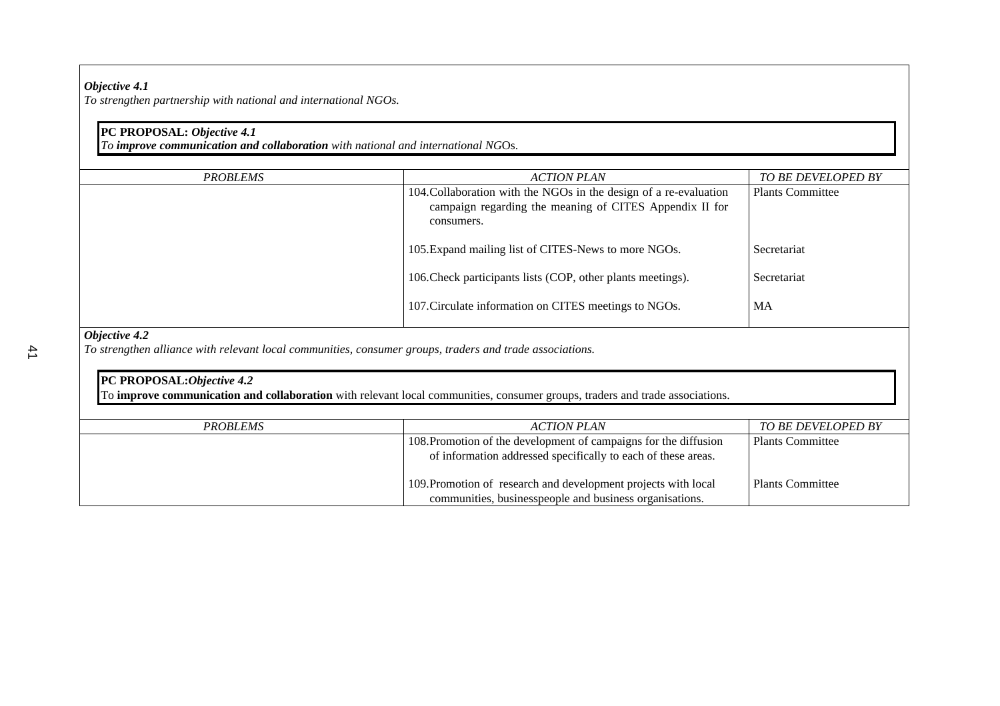*To strengthen partnership with national and international NGOs.*

### **PC PROPOSAL:** *Objective 4.1*

*To improve communication and collaboration with national and international NG*Os.

| <b>PROBLEMS</b>             | <b>ACTION PLAN</b>                                                                                                                         | <b>TO BE DEVELOPED BY</b> |
|-----------------------------|--------------------------------------------------------------------------------------------------------------------------------------------|---------------------------|
|                             | 104. Collaboration with the NGOs in the design of a re-evaluation<br>campaign regarding the meaning of CITES Appendix II for<br>consumers. | <b>Plants Committee</b>   |
|                             | 105. Expand mailing list of CITES-News to more NGOs.                                                                                       | Secretariat               |
|                             | 106. Check participants lists (COP, other plants meetings).                                                                                | Secretariat               |
|                             | 107. Circulate information on CITES meetings to NGOs.                                                                                      | MA                        |
| $\Omega$ is atime $\Lambda$ |                                                                                                                                            |                           |

#### *Objective 4.2*

*To strengthen alliance with relevant local communities, consumer groups, traders and trade associations.*

## **PC PROPOSAL:***Objective 4.2* To **improve communication and collaboration** with relevant local communities, consumer groups, traders and trade associations.

| PROBLEMS | ACTION PLAN                                                      | TO BE DEVELOPED BY      |
|----------|------------------------------------------------------------------|-------------------------|
|          | 108. Promotion of the development of campaigns for the diffusion | <b>Plants Committee</b> |
|          | of information addressed specifically to each of these areas.    |                         |
|          | 109. Promotion of research and development projects with local   | <b>Plants Committee</b> |
|          | communities, businesspeople and business organisations.          |                         |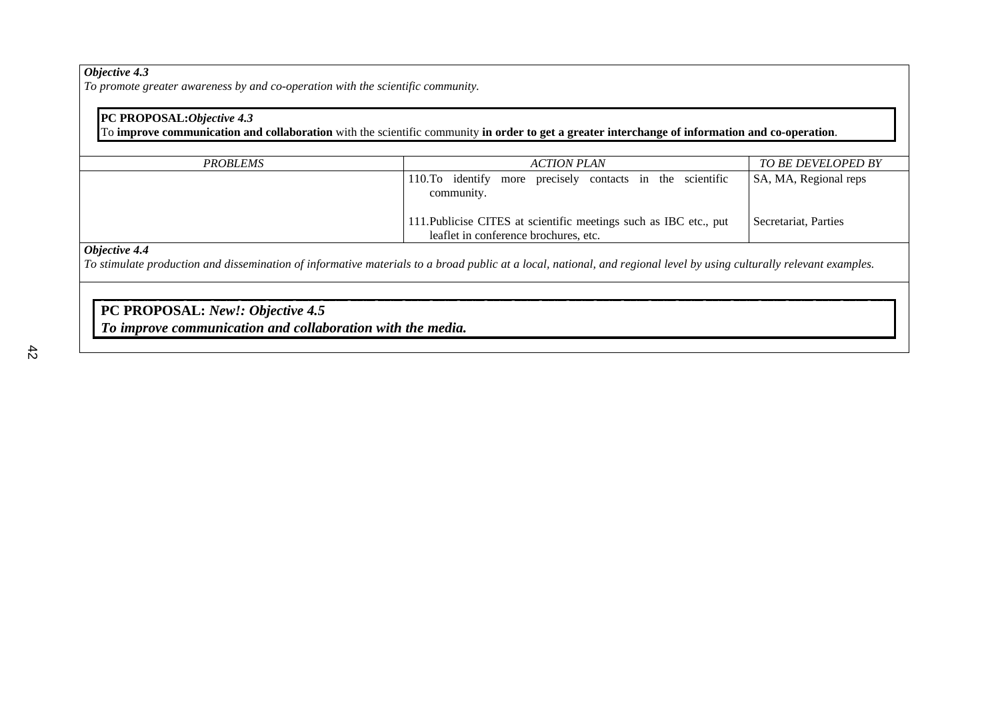*To promote greater awareness by and co-operation with the scientific community.*

## **PC PROPOSAL:***Objective 4.3*

To **improve communication and collaboration** with the scientific community **in order to get a greater interchange of information and co-operation**.

| PROBLEMS | <b>ACTION PLAN</b>                                                | <i>TO BE DEVELOPED BY</i> |
|----------|-------------------------------------------------------------------|---------------------------|
|          | identify more precisely contacts in the scientific<br>$110.$ To   | SA, MA, Regional reps     |
|          | community.                                                        |                           |
|          |                                                                   |                           |
|          | 111. Publicise CITES at scientific meetings such as IBC etc., put | Secretariat, Parties      |
|          | leaflet in conference brochures, etc.                             |                           |

### *Objective 4.4*

*To stimulate production and dissemination of informative materials to a broad public at a local, national, and regional level by using culturally relevant examples.*

## **PC PROPOSAL:** *New!: Objective 4.5*

*To improve communication and collaboration with the media.*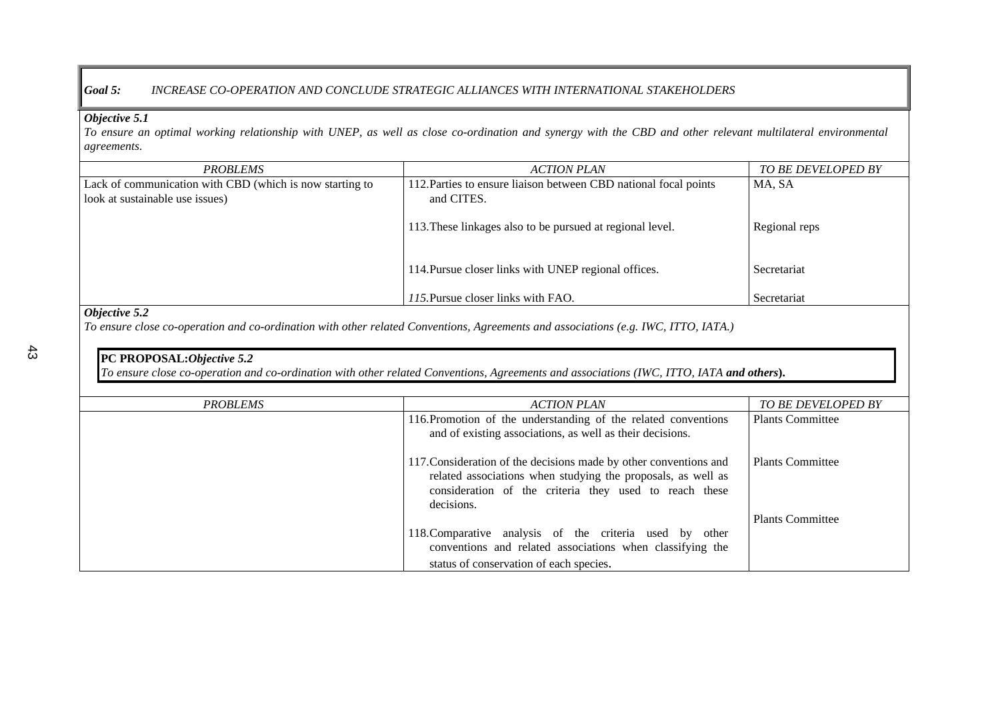### *Goal 5: INCREASE CO-OPERATION AND CONCLUDE STRATEGIC ALLIANCES WITH INTERNATIONAL STAKEHOLDERS*

### *Objective 5.1*

*To ensure an optimal working relationship with UNEP, as well as close co-ordination and synergy with the CBD and other relevant multilateral environmental agreements.*

| <i>PROBLEMS</i>                                                                             | <b>ACTION PLAN</b>                                                             | <i>TO BE DEVELOPED BY</i> |
|---------------------------------------------------------------------------------------------|--------------------------------------------------------------------------------|---------------------------|
| Lack of communication with CBD (which is now starting to<br>look at sustainable use issues) | 112. Parties to ensure liaison between CBD national focal points<br>and CITES. | MA, SA                    |
|                                                                                             | 113. These linkages also to be pursued at regional level.                      | Regional reps             |
|                                                                                             | 114. Pursue closer links with UNEP regional offices.                           | Secretariat               |
|                                                                                             | 115. Pursue closer links with FAO.                                             | Secretariat               |

### *Objective 5.2*

*To ensure close co-operation and co-ordination with other related Conventions, Agreements and associations (e.g. IWC, ITTO, IATA.)*

### **PC PROPOSAL:***Objective 5.2*

*To ensure close co-operation and co-ordination with other related Conventions, Agreements and associations (IWC, ITTO, IATA and others***).**

| <b>PROBLEMS</b> | <b>ACTION PLAN</b>                                                                                                                                                                                        | TO BE DEVELOPED BY      |
|-----------------|-----------------------------------------------------------------------------------------------------------------------------------------------------------------------------------------------------------|-------------------------|
|                 | 116. Promotion of the understanding of the related conventions<br>and of existing associations, as well as their decisions.                                                                               | <b>Plants Committee</b> |
|                 | 117. Consideration of the decisions made by other conventions and<br>related associations when studying the proposals, as well as<br>consideration of the criteria they used to reach these<br>decisions. | <b>Plants Committee</b> |
|                 |                                                                                                                                                                                                           | <b>Plants Committee</b> |
|                 | 118. Comparative analysis of the criteria used by other<br>conventions and related associations when classifying the                                                                                      |                         |
|                 | status of conservation of each species.                                                                                                                                                                   |                         |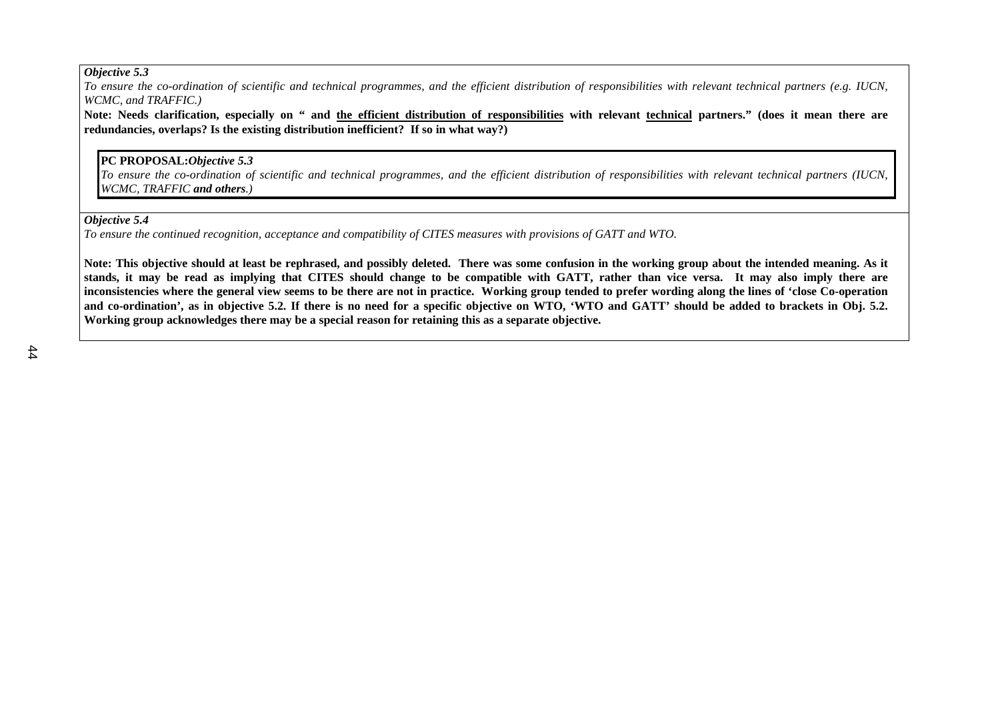*To ensure the co-ordination of scientific and technical programmes, and the efficient distribution of responsibilities with relevant technical partners (e.g. IUCN, WCMC, and TRAFFIC.)*

**Note: Needs clarification, especially on " and the efficient distribution of responsibilities with relevant technical partners." (does it mean there are redundancies, overlaps? Is the existing distribution inefficient? If so in what way?)**

### **PC PROPOSAL:***Objective 5.3*

*To ensure the co-ordination of scientific and technical programmes, and the efficient distribution of responsibilities with relevant technical partners (IUCN, WCMC, TRAFFIC and others.)*

#### *Objective 5.4*

*To ensure the continued recognition, acceptance and compatibility of CITES measures with provisions of GATT and WTO.*

**Note: This objective should at least be rephrased, and possibly deleted. There was some confusion in the working group about the intended meaning. As it stands, it may be read as implying that CITES should change to be compatible with GATT, rather than vice versa. It may also imply there are inconsistencies where the general view seems to be there are not in practice. Working group tended to prefer wording along the lines of 'close Co-operation and co-ordination', as in objective 5.2. If there is no need for a specific objective on WTO, 'WTO and GATT' should be added to brackets in Obj. 5.2. Working group acknowledges there may be a special reason for retaining this as a separate objective.**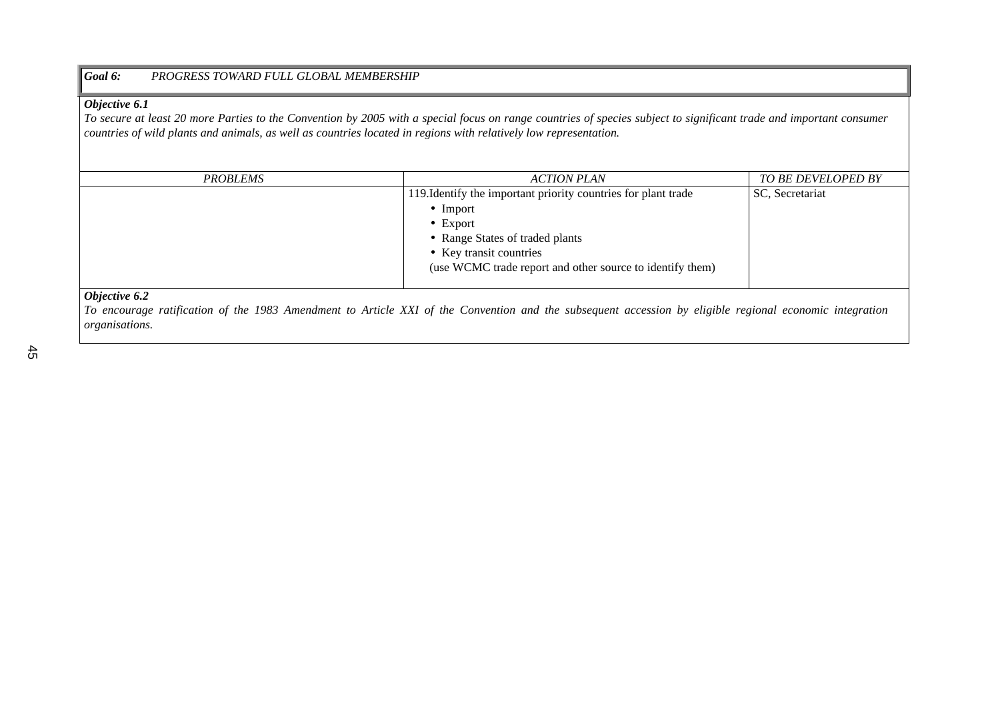#### *Goal 6: PROGRESS TOWARD FULL GLOBAL MEMBERSHIP*

### *Objective 6.1*

*To secure at least 20 more Parties to the Convention by 2005 with a special focus on range countries of species subject to significant trade and important consumer countries of wild plants and animals, as well as countries located in regions with relatively low representation.*

| <b>PROBLEMS</b>   | <b>ACTION PLAN</b>                                             | TO BE DEVELOPED BY |
|-------------------|----------------------------------------------------------------|--------------------|
|                   | 119. Identify the important priority countries for plant trade | SC, Secretariat    |
|                   | $\bullet$ Import                                               |                    |
|                   | $\bullet$ Export                                               |                    |
|                   | • Range States of traded plants                                |                    |
|                   | • Key transit countries                                        |                    |
|                   | (use WCMC trade report and other source to identify them)      |                    |
|                   |                                                                |                    |
| $\alpha$ $\alpha$ |                                                                |                    |

#### *Objective 6.2*

*To encourage ratification of the 1983 Amendment to Article XXI of the Convention and the subsequent accession by eligible regional economic integration organisations.*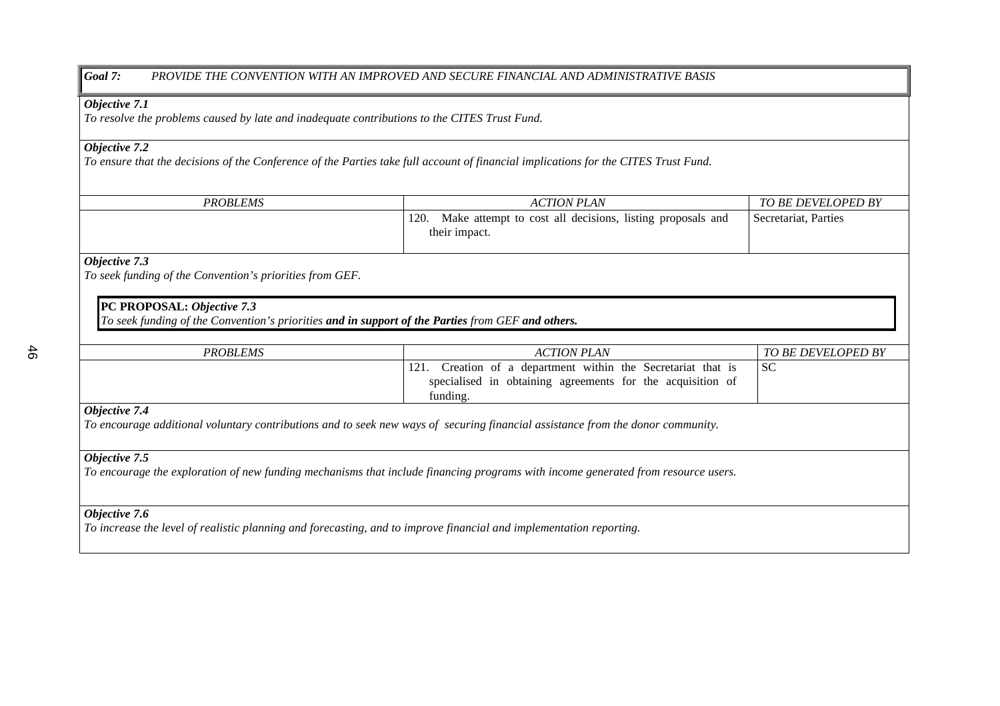### *Goal 7: PROVIDE THE CONVENTION WITH AN IMPROVED AND SECURE FINANCIAL AND ADMINISTRATIVE BASIS*

#### *Objective 7.1*

*To resolve the problems caused by late and inadequate contributions to the CITES Trust Fund.*

### *Objective 7.2*

*To ensure that the decisions of the Conference of the Parties take full account of financial implications for the CITES Trust Fund.*

| <b>PROBLEMS</b> | <b>ACTION PLAN</b>                                                                 | <b>TO BE DEVELOPED BY</b> |
|-----------------|------------------------------------------------------------------------------------|---------------------------|
|                 | 120.<br>Make attempt to cost all decisions, listing proposals and<br>their impact. | Secretariat, Parties      |
|                 |                                                                                    |                           |

### *Objective 7.3*

*To seek funding of the Convention's priorities from GEF.*

### **PC PROPOSAL:** *Objective 7.3*

*To seek funding of the Convention's priorities and in support of the Parties from GEF and others.*

| <i><b>PROBLEMS</b></i> | ACTION PLAN                                                | <b>TO BE DEVELOPED BY</b> |
|------------------------|------------------------------------------------------------|---------------------------|
|                        | Creation of a department within the Secretariat that is    | ' SC                      |
|                        | specialised in obtaining agreements for the acquisition of |                           |
|                        | funding.                                                   |                           |
| Objective 7.4          |                                                            |                           |

*To encourage additional voluntary contributions and to seek new ways of securing financial assistance from the donor community.*

#### *Objective 7.5*

*To encourage the exploration of new funding mechanisms that include financing programs with income generated from resource users.*

### *Objective 7.6*

*To increase the level of realistic planning and forecasting, and to improve financial and implementation reporting.*